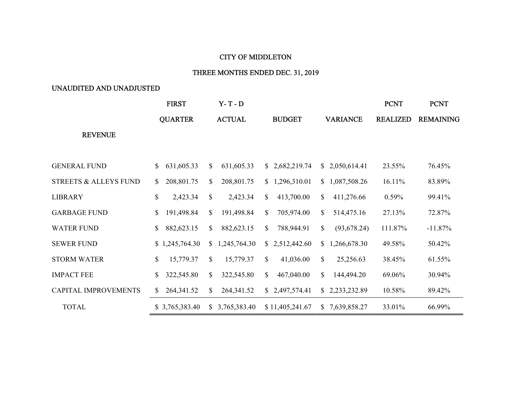## CITY OF MIDDLETON

## THREE MONTHS ENDED DEC. 31, 2019

## UNAUDITED AND UNADJUSTED

|                                  | <b>FIRST</b>               | $Y - T - D$                |                    |                              | <b>PCNT</b>     | <b>PCNT</b>      |
|----------------------------------|----------------------------|----------------------------|--------------------|------------------------------|-----------------|------------------|
|                                  | <b>QUARTER</b>             | <b>ACTUAL</b>              | <b>BUDGET</b>      | <b>VARIANCE</b>              | <b>REALIZED</b> | <b>REMAINING</b> |
| <b>REVENUE</b>                   |                            |                            |                    |                              |                 |                  |
|                                  |                            |                            |                    |                              |                 |                  |
| <b>GENERAL FUND</b>              | 631,605.33<br>$\mathbb{S}$ | 631,605.33<br>$\mathbb{S}$ | \$2,682,219.74     | 2,050,614.41<br>S.           | 23.55%          | 76.45%           |
| <b>STREETS &amp; ALLEYS FUND</b> | 208,801.75<br>\$           | \$<br>208,801.75           | 1,296,310.01<br>S. | 1,087,508.26<br>$\mathbb{S}$ | 16.11%          | 83.89%           |
| LIBRARY                          | \$<br>2,423.34             | $\mathbb{S}$<br>2,423.34   | 413,700.00<br>\$   | S.<br>411,276.66             | 0.59%           | 99.41%           |
| <b>GARBAGE FUND</b>              | 191,498.84<br>S.           | $\mathbb{S}$<br>191,498.84 | 705,974.00<br>S.   | \$<br>514,475.16             | 27.13%          | 72.87%           |
| <b>WATER FUND</b>                | 882,623.15<br>$\mathbb{S}$ | \$<br>882,623.15           | 788,944.91<br>S.   | \$<br>(93, 678.24)           | 111.87%         | $-11.87%$        |
| <b>SEWER FUND</b>                | \$1,245,764.30             | \$1,245,764.30             | \$2,512,442.60     | 1,266,678.30<br>S.           | 49.58%          | 50.42%           |
| <b>STORM WATER</b>               | \$<br>15,779.37            | \$<br>15,779.37            | \$<br>41,036.00    | \$<br>25,256.63              | 38.45%          | 61.55%           |
| <b>IMPACT FEE</b>                | 322,545.80<br>S            | 322,545.80<br>S.           | 467,040.00<br>S.   | 144,494.20<br>S.             | 69.06%          | 30.94%           |
| CAPITAL IMPROVEMENTS             | 264,341.52<br>S.           | S.<br>264,341.52           | \$2,497,574.41     | 2,233,232.89<br>S.           | 10.58%          | 89.42%           |
| <b>TOTAL</b>                     | \$3,765,383.40             | \$3,765,383.40             | \$11,405,241.67    | 7,639,858.27<br>S.           | 33.01%          | 66.99%           |